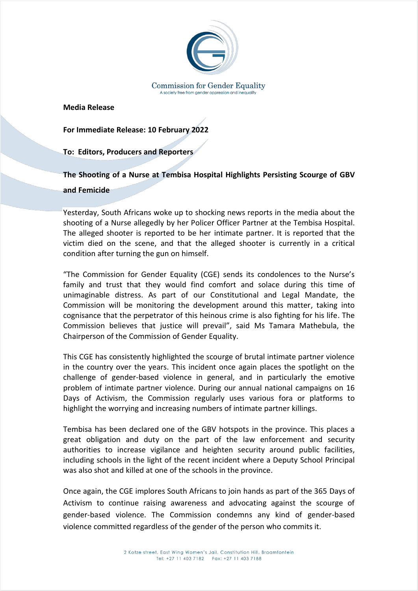

**Media Release**

**For Immediate Release: 10 February 2022**

**To: Editors, Producers and Reporters**

**The Shooting of a Nurse at Tembisa Hospital Highlights Persisting Scourge of GBV and Femicide** 

Yesterday, South Africans woke up to shocking news reports in the media about the shooting of a Nurse allegedly by her Policer Officer Partner at the Tembisa Hospital. The alleged shooter is reported to be her intimate partner. It is reported that the victim died on the scene, and that the alleged shooter is currently in a critical condition after turning the gun on himself.

"The Commission for Gender Equality (CGE) sends its condolences to the Nurse's family and trust that they would find comfort and solace during this time of unimaginable distress. As part of our Constitutional and Legal Mandate, the Commission will be monitoring the development around this matter, taking into cognisance that the perpetrator of this heinous crime is also fighting for his life. The Commission believes that justice will prevail", said Ms Tamara Mathebula, the Chairperson of the Commission of Gender Equality.

This CGE has consistently highlighted the scourge of brutal intimate partner violence in the country over the years. This incident once again places the spotlight on the challenge of gender-based violence in general, and in particularly the emotive problem of intimate partner violence. During our annual national campaigns on 16 Days of Activism, the Commission regularly uses various fora or platforms to highlight the worrying and increasing numbers of intimate partner killings.

Tembisa has been declared one of the GBV hotspots in the province. This places a great obligation and duty on the part of the law enforcement and security authorities to increase vigilance and heighten security around public facilities, including schools in the light of the recent incident where a Deputy School Principal was also shot and killed at one of the schools in the province.

Once again, the CGE implores South Africans to join hands as part of the 365 Days of Activism to continue raising awareness and advocating against the scourge of gender-based violence. The Commission condemns any kind of gender-based violence committed regardless of the gender of the person who commits it.